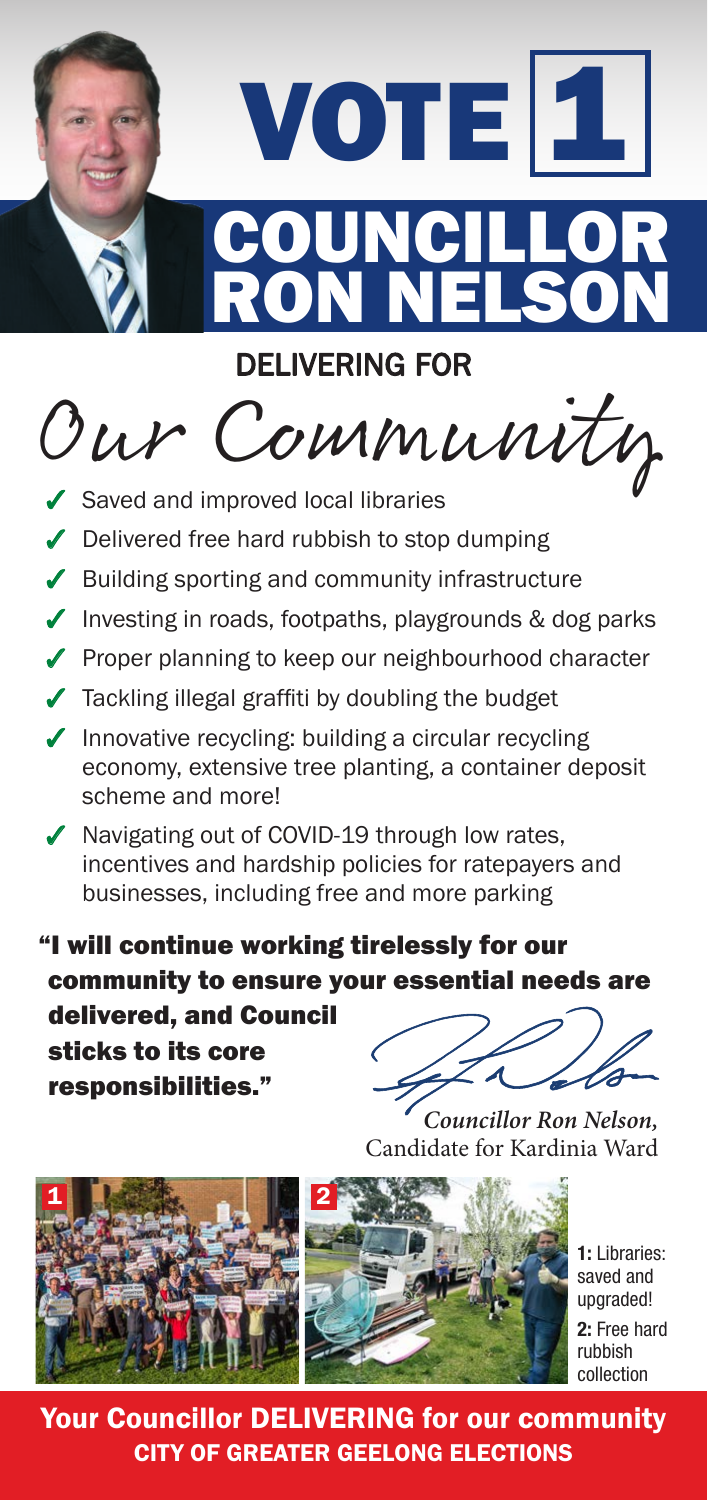

## DELIVERING FOR

Our Community

- $\triangleleft$  Saved and improved local libraries
- $\sqrt{\phantom{a}}$  Delivered free hard rubbish to stop dumping
- $\sqrt{\ }$  Building sporting and community infrastructure
- $\sqrt{\ }$  Investing in roads, footpaths, playgrounds & dog parks
- ◆ Proper planning to keep our neighbourhood character
- $\checkmark$  Tackling illegal graffiti by doubling the budget
- $\sqrt{\ }$  Innovative recycling: building a circular recycling economy, extensive tree planting, a container deposit scheme and more!
- $\sqrt{\ }$  Navigating out of COVID-19 through low rates, incentives and hardship policies for ratepayers and businesses, including free and more parking

"I will continue working tirelessly for our community to ensure your essential needs are

delivered, and Council sticks to its core responsibilities."

*Councillor Ron Nelson,* Candidate for Kardinia Ward



**1:** Libraries: saved and upgraded! **2:** Free hard rubbish collection

Your Councillor DELIVERING for our community CITY OF GREATER GEELONG ELECTIONS